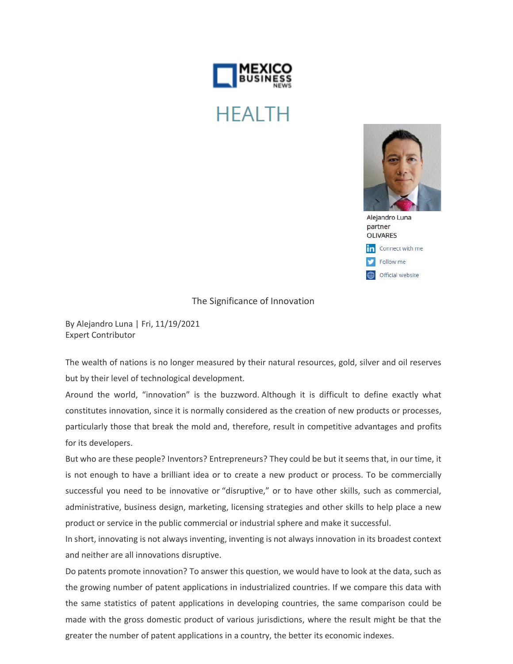

## **HEALTH**



## The Significance of Innovation

By Alejandro Luna | Fri, 11/19/2021 Expert Contributor

The wealth of nations is no longer measured by their natural resources, gold, silver and oil reserves but by their level of technological development.

Around the world, "innovation" is the buzzword. Although it is difficult to define exactly what constitutes innovation, since it is normally considered as the creation of new products or processes, particularly those that break the mold and, therefore, result in competitive advantages and profits for its developers.

But who are these people? Inventors? Entrepreneurs? They could be but it seems that, in our time, it is not enough to have a brilliant idea or to create a new product or process. To be commercially successful you need to be innovative or "disruptive," or to have other skills, such as commercial, administrative, business design, marketing, licensing strategies and other skills to help place a new product or service in the public commercial or industrial sphere and make it successful.

In short, innovating is not always inventing, inventing is not always innovation in its broadest context and neither are all innovations disruptive.

Do patents promote innovation? To answer this question, we would have to look at the data, such as the growing number of patent applications in industrialized countries. If we compare this data with the same statistics of patent applications in developing countries, the same comparison could be made with the gross domestic product of various jurisdictions, where the result might be that the greater the number of patent applications in a country, the better its economic indexes.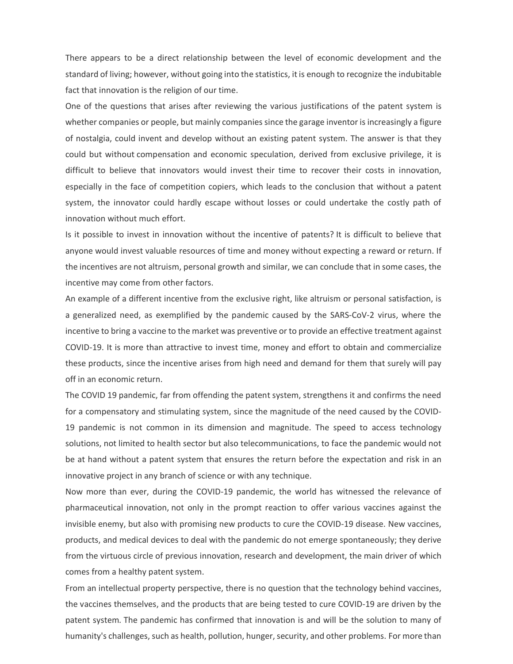There appears to be a direct relationship between the level of economic development and the standard of living; however, without going into the statistics, it is enough to recognize the indubitable fact that innovation is the religion of our time.

One of the questions that arises after reviewing the various justifications of the patent system is whether companies or people, but mainly companies since the garage inventor is increasingly a figure of nostalgia, could invent and develop without an existing patent system. The answer is that they could but without compensation and economic speculation, derived from exclusive privilege, it is difficult to believe that innovators would invest their time to recover their costs in innovation, especially in the face of competition copiers, which leads to the conclusion that without a patent system, the innovator could hardly escape without losses or could undertake the costly path of innovation without much effort.

Is it possible to invest in innovation without the incentive of patents? It is difficult to believe that anyone would invest valuable resources of time and money without expecting a reward or return. If the incentives are not altruism, personal growth and similar, we can conclude that in some cases, the incentive may come from other factors.

An example of a different incentive from the exclusive right, like altruism or personal satisfaction, is a generalized need, as exemplified by the pandemic caused by the SARS-CoV-2 virus, where the incentive to bring a vaccine to the market was preventive or to provide an effective treatment against COVID-19. It is more than attractive to invest time, money and effort to obtain and commercialize these products, since the incentive arises from high need and demand for them that surely will pay off in an economic return.

The COVID 19 pandemic, far from offending the patent system, strengthens it and confirms the need for a compensatory and stimulating system, since the magnitude of the need caused by the COVID-19 pandemic is not common in its dimension and magnitude. The speed to access technology solutions, not limited to health sector but also telecommunications, to face the pandemic would not be at hand without a patent system that ensures the return before the expectation and risk in an innovative project in any branch of science or with any technique.

Now more than ever, during the COVID-19 pandemic, the world has witnessed the relevance of pharmaceutical innovation, not only in the prompt reaction to offer various vaccines against the invisible enemy, but also with promising new products to cure the COVID-19 disease. New vaccines, products, and medical devices to deal with the pandemic do not emerge spontaneously; they derive from the virtuous circle of previous innovation, research and development, the main driver of which comes from a healthy patent system.

From an intellectual property perspective, there is no question that the technology behind vaccines, the vaccines themselves, and the products that are being tested to cure COVID-19 are driven by the patent system*.* The pandemic has confirmed that innovation is and will be the solution to many of humanity's challenges, such as health, pollution, hunger, security, and other problems. For more than